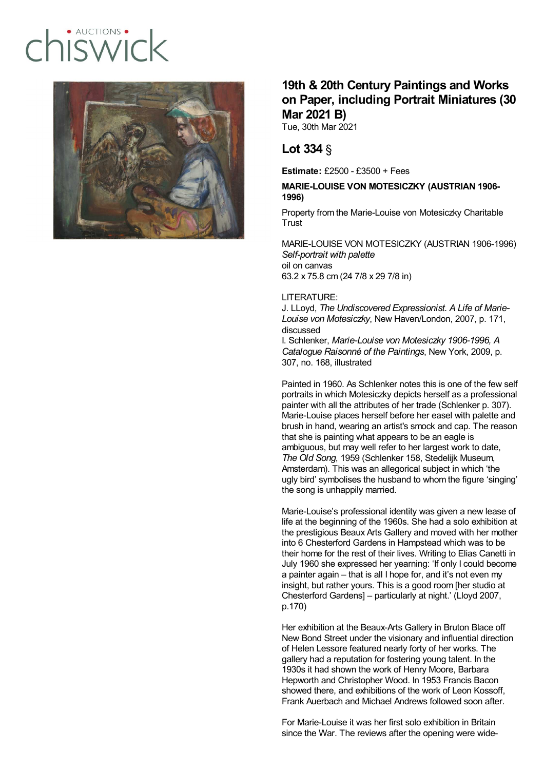# $ALICTIONS$  $I(S\setminus\Lambda/$



## **19th & 20th Century Paintings and Works on Paper, including Portrait Miniatures (30 Mar 2021 B)**

Tue, 30th Mar 2021

## **Lot 334** §

**Estimate:** £2500 - £3500 + Fees

#### **MARIE-LOUISE VON MOTESICZKY (AUSTRIAN 1906- 1996)**

Property from the Marie-Louise von Motesiczky Charitable **Trust** 

MARIE-LOUISE VON MOTESICZKY (AUSTRIAN 1906-1996) *Self-portrait with palette* oil on canvas 63.2 x 75.8 cm (24 7/8 x 29 7/8 in)

### LITERATURE:

J. LLoyd, *The Undiscovered Expressionist. A Life of Marie-Louise von Motesiczky*, New Haven/London, 2007, p. 171, discussed

I. Schlenker, *Marie-Louise von Motesiczky 1906-1996, A Catalogue Raisonné of the Paintings*, New York, 2009, p. 307, no. 168, illustrated

Painted in 1960. As Schlenker notes this is one of the few self portraits in which Motesiczky depicts herself as a professional painter with all the attributes of her trade (Schlenker p. 307). Marie-Louise places herself before her easel with palette and brush in hand, wearing an artist's smock and cap. The reason that she is painting what appears to be an eagle is ambiguous, but may well refer to her largest work to date, *The Old Song*, 1959 (Schlenker 158, Stedelijk Museum, Amsterdam). This was an allegorical subject in which 'the ugly bird' symbolises the husband to whom the figure 'singing' the song is unhappily married.

Marie-Louise's professional identity was given a new lease of life at the beginning of the 1960s. She had a solo exhibition at the prestigious Beaux Arts Gallery and moved with her mother into 6 Chesterford Gardens in Hampstead which was to be their home for the rest of their lives. Writing to Elias Canetti in July 1960 she expressed her yearning: 'If only I could become a painter again – that is all I hope for, and it's not even my insight, but rather yours. This is a good room [her studio at Chesterford Gardens] – particularly at night.' (Lloyd 2007, p.170)

Her exhibition at the Beaux-Arts Gallery in Bruton Blace off New Bond Street under the visionary and influential direction of Helen Lessore featured nearly forty of her works. The gallery had a reputation for fostering young talent. In the 1930s it had shown the work of Henry Moore, Barbara Hepworth and Christopher Wood. In 1953 Francis Bacon showed there, and exhibitions of the work of Leon Kossoff, Frank Auerbach and Michael Andrews followed soon after.

For Marie-Louise it was her first solo exhibition in Britain since the War. The reviews after the opening were wide-